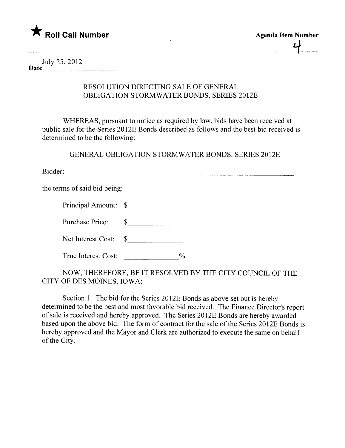

July 25, 2012 Date  $\frac{1}{2}$   $\frac{1}{2}$   $\frac{1}{2}$   $\frac{1}{2}$   $\frac{1}{2}$ 

## RESOLUTION DIRECTING SALE OF GENERAL OBLIGATION STORMWATER BONDS, SERIES 2012E

WHEREAS, pursuant to notice as required by law, bids have been received at public sale for the Series 201 2E Bonds described as follows and the best bid received is determined to be the following:

GENERAL OBLIGATION STORMWATER BONDS, SERIES 2012E

Bidder:

the terms of said bid being:

Principal Amount: \$

Purchase Price: \$

Net Interest Cost: \$

True Interest Cost:  $\frac{9}{6}$ 

NOW, THEREFORE, BE IT RESOLVED BY THE CITY COUNCIL OF THE CITY OF DES MOINES, IOWA:

Section 1. The bid for the Series 2012E Bonds as above set out is hereby determined to be the best and most favorable bid received. The Finance Director's report of sale is received and hereby approved. The Series 201 2E Bonds are hereby awarded based upon the above bid. The form of contract for the sale of the Series 2012E Bonds is hereby approved and the Mayor and Clerk are authorized to execute the same on behalf of the City.